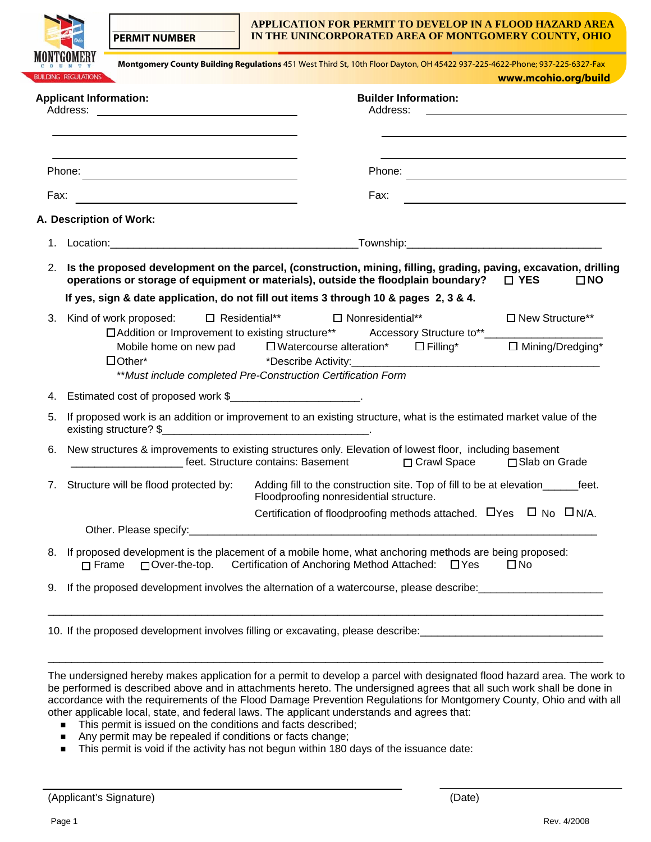**PERMIT NUMBER** 

#### **APPLICATION FOR PERMIT TO DEVELOP IN A FLOOD HAZARD AREA IN THE UNINCORPORATED AREA OF MONTGOMERY COUNTY, OHIO**

|          | <b>BUILDING REGULATIONS</b>                                                                                                                                                                            |                                    | Montgomery County Building Regulations 451 West Third St, 10th Floor Dayton, OH 45422 937-225-4622-Phone; 937-225-6327-Fax |                                         |                                                                                                                                                                                                                                                                                  |              | www.mcohio.org/build |
|----------|--------------------------------------------------------------------------------------------------------------------------------------------------------------------------------------------------------|------------------------------------|----------------------------------------------------------------------------------------------------------------------------|-----------------------------------------|----------------------------------------------------------------------------------------------------------------------------------------------------------------------------------------------------------------------------------------------------------------------------------|--------------|----------------------|
| Address: | <b>Applicant Information:</b>                                                                                                                                                                          |                                    |                                                                                                                            | <b>Builder Information:</b><br>Address: |                                                                                                                                                                                                                                                                                  |              |                      |
| Phone:   | <u> 1989 - Andrea Station Barbara (b. 1989)</u>                                                                                                                                                        |                                    |                                                                                                                            | Phone:                                  | <u> 1989 - Andrea State Barbara, amerikan personal di personal dengan personal dengan personal dengan personal de</u>                                                                                                                                                            |              |                      |
| Fax:     |                                                                                                                                                                                                        |                                    |                                                                                                                            | Fax:                                    |                                                                                                                                                                                                                                                                                  |              |                      |
|          | A. Description of Work:                                                                                                                                                                                |                                    |                                                                                                                            |                                         |                                                                                                                                                                                                                                                                                  |              |                      |
|          |                                                                                                                                                                                                        |                                    |                                                                                                                            |                                         |                                                                                                                                                                                                                                                                                  |              |                      |
| 2.       | Is the proposed development on the parcel, (construction, mining, filling, grading, paving, excavation, drilling<br>operations or storage of equipment or materials), outside the floodplain boundary? |                                    |                                                                                                                            |                                         |                                                                                                                                                                                                                                                                                  | $\Box$ YES   | $\square$ NO         |
|          | If yes, sign & date application, do not fill out items 3 through 10 & pages 2, 3 & 4.                                                                                                                  |                                    |                                                                                                                            |                                         |                                                                                                                                                                                                                                                                                  |              |                      |
| 3.       | Kind of work proposed:                                                                                                                                                                                 | □ Residential** □ Nonresidential** |                                                                                                                            |                                         |                                                                                                                                                                                                                                                                                  |              | □ New Structure**    |
|          | □ Addition or Improvement to existing structure** Accessory Structure to**____<br>Mobile home on new pad<br>$\Box$ Other*                                                                              |                                    |                                                                                                                            |                                         | $\Box$ Watercourse alteration* $\Box$ Filling*<br>*Describe Activity: The Second Second Second Second Second Second Second Second Second Second Second Second Second Second Second Second Second Second Second Second Second Second Second Second Second Second Second Second Se |              | □ Mining/Dredging*   |
|          | ** Must include completed Pre-Construction Certification Form                                                                                                                                          |                                    |                                                                                                                            |                                         |                                                                                                                                                                                                                                                                                  |              |                      |
|          | 4. Estimated cost of proposed work \$                                                                                                                                                                  |                                    |                                                                                                                            |                                         |                                                                                                                                                                                                                                                                                  |              |                      |
| 5.       | If proposed work is an addition or improvement to an existing structure, what is the estimated market value of the<br>existing structure? \$                                                           |                                    |                                                                                                                            |                                         |                                                                                                                                                                                                                                                                                  |              |                      |
| 6.       | New structures & improvements to existing structures only. Elevation of lowest floor, including basement                                                                                               | feet. Structure contains: Basement |                                                                                                                            |                                         | □ Crawl Space                                                                                                                                                                                                                                                                    |              | □ Slab on Grade      |
| 7.       | Structure will be flood protected by:                                                                                                                                                                  |                                    | Floodproofing nonresidential structure.                                                                                    |                                         | Adding fill to the construction site. Top of fill to be at elevation________feet.                                                                                                                                                                                                |              |                      |
|          |                                                                                                                                                                                                        |                                    |                                                                                                                            |                                         | Certification of floodproofing methods attached. DYes D No DN/A.                                                                                                                                                                                                                 |              |                      |
| 8.       | Other. Please specify:<br>If proposed development is the placement of a mobile home, what anchoring methods are being proposed:<br>$\sqcap$ Frame<br>$\Box$ Over-the-top.                              |                                    |                                                                                                                            |                                         | Certification of Anchoring Method Attached: □ Yes                                                                                                                                                                                                                                | $\square$ No |                      |
| 9.       | If the proposed development involves the alternation of a watercourse, please describe: _____________________                                                                                          |                                    |                                                                                                                            |                                         |                                                                                                                                                                                                                                                                                  |              |                      |

The undersigned hereby makes application for a permit to develop a parcel with designated flood hazard area. The work to be performed is described above and in attachments hereto. The undersigned agrees that all such work shall be done in accordance with the requirements of the Flood Damage Prevention Regulations for Montgomery County, Ohio and with all other applicable local, state, and federal laws. The applicant understands and agrees that:

- This permit is issued on the conditions and facts described;<br>■ Any permit may be repealed if conditions or facts change;
- Any permit may be repealed if conditions or facts change;
- This permit is void if the activity has not begun within 180 days of the issuance date: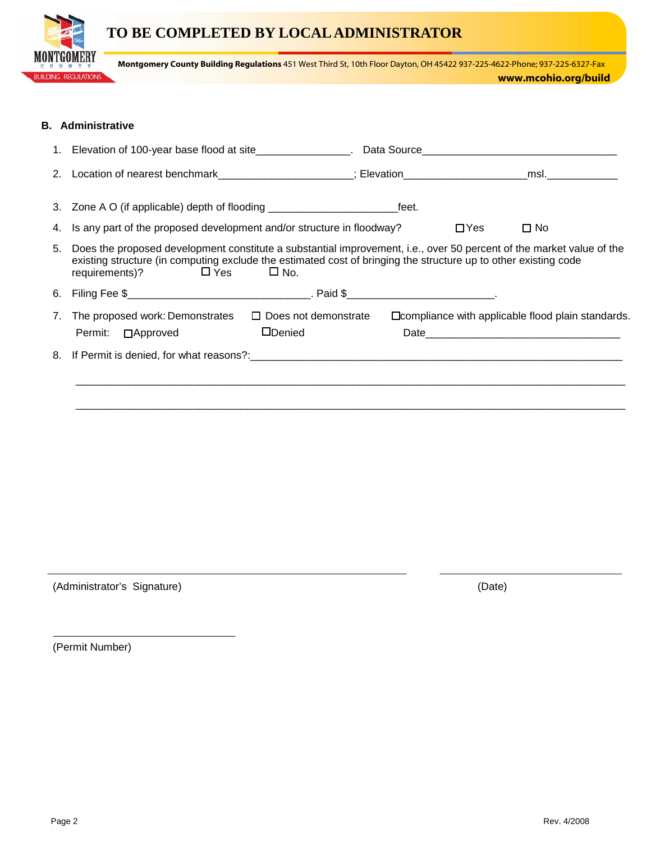## **TO BE COMPLETED BY LOCAL ADMINISTRATOR**



**Montgomery County Building Regulations** 451 West Third St, 10th Floor Dayton, OH 45422 937-225-4622-Phone; 937-225-6327-Fax

### **B. Administrative**

|    | 3. Zone A O (if applicable) depth of flooding __________________________________feet.                                                                                                                                                                                           |                                               |  |            |                                                          |
|----|---------------------------------------------------------------------------------------------------------------------------------------------------------------------------------------------------------------------------------------------------------------------------------|-----------------------------------------------|--|------------|----------------------------------------------------------|
|    | 4. Is any part of the proposed development and/or structure in floodway?                                                                                                                                                                                                        |                                               |  | $\Box$ Yes | $\square$ No                                             |
| 5. | Does the proposed development constitute a substantial improvement, i.e., over 50 percent of the market value of the<br>existing structure (in computing exclude the estimated cost of bringing the structure up to other existing code<br>requirements)? $\Box$ Yes $\Box$ No. |                                               |  |            |                                                          |
| 6. |                                                                                                                                                                                                                                                                                 |                                               |  |            |                                                          |
| 7. | The proposed work: Demonstrates<br>Permit: □ Approved                                                                                                                                                                                                                           | $\Box$ Does not demonstrate<br><b>ODenied</b> |  |            | $\Box$ compliance with applicable flood plain standards. |
|    |                                                                                                                                                                                                                                                                                 |                                               |  |            |                                                          |
|    |                                                                                                                                                                                                                                                                                 |                                               |  |            |                                                          |

(Administrator's Signature) (Date)

(Permit Number)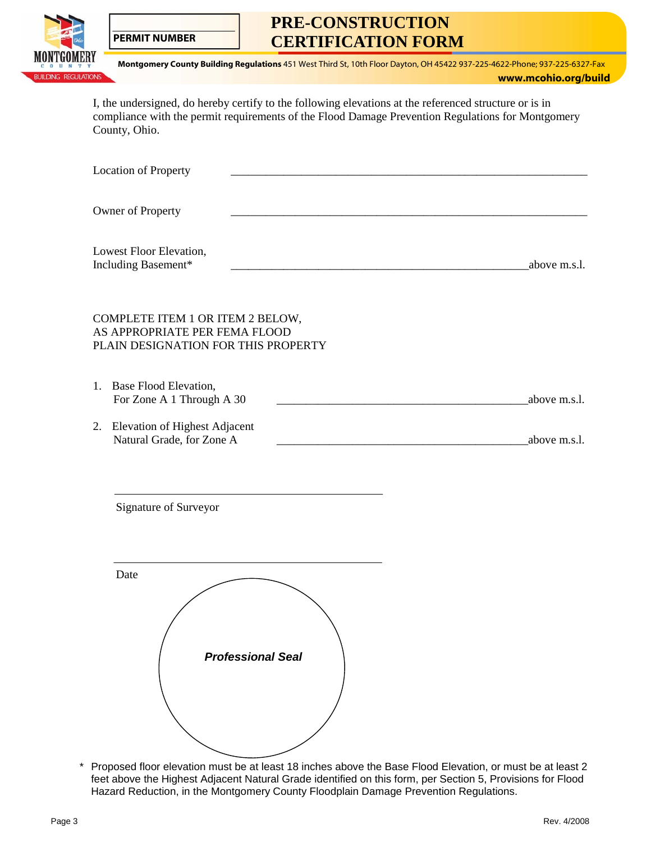

**PERMIT NUMBER** 

# **PRE-CONSTRUCTION CERTIFICATION FORM**

**Montgomery County Building Regulations** 451 West Third St, 10th Floor Dayton, OH 45422 937-225-4622-Phone; 937-225-6327-Fax

**www.mcohio.org/build** 

I, the undersigned, do hereby certify to the following elevations at the referenced structure or is in compliance with the permit requirements of the Flood Damage Prevention Regulations for Montgomery County, Ohio.

| Location of Property                                                                                     |                          |                                                                                                           |
|----------------------------------------------------------------------------------------------------------|--------------------------|-----------------------------------------------------------------------------------------------------------|
| Owner of Property                                                                                        |                          |                                                                                                           |
| Lowest Floor Elevation,<br>Including Basement*                                                           |                          | above m.s.l.                                                                                              |
| COMPLETE ITEM 1 OR ITEM 2 BELOW,<br>AS APPROPRIATE PER FEMA FLOOD<br>PLAIN DESIGNATION FOR THIS PROPERTY |                          |                                                                                                           |
| 1. Base Flood Elevation,<br>For Zone A 1 Through A 30                                                    |                          | above m.s.l.                                                                                              |
| 2. Elevation of Highest Adjacent<br>Natural Grade, for Zone A                                            |                          | above m.s.l.                                                                                              |
| Signature of Surveyor                                                                                    |                          |                                                                                                           |
| Date                                                                                                     | <b>Professional Seal</b> |                                                                                                           |
|                                                                                                          |                          | Proposed floor elevation must be at least 18 inches above the Base Flood Elevation, or must be at least 2 |

\* Proposed floor elevation must be at least 18 inches above the Base Flood Elevation, or must be at least 2 feet above the Highest Adjacent Natural Grade identified on this form, per Section 5, Provisions for Flood Hazard Reduction, in the Montgomery County Floodplain Damage Prevention Regulations.